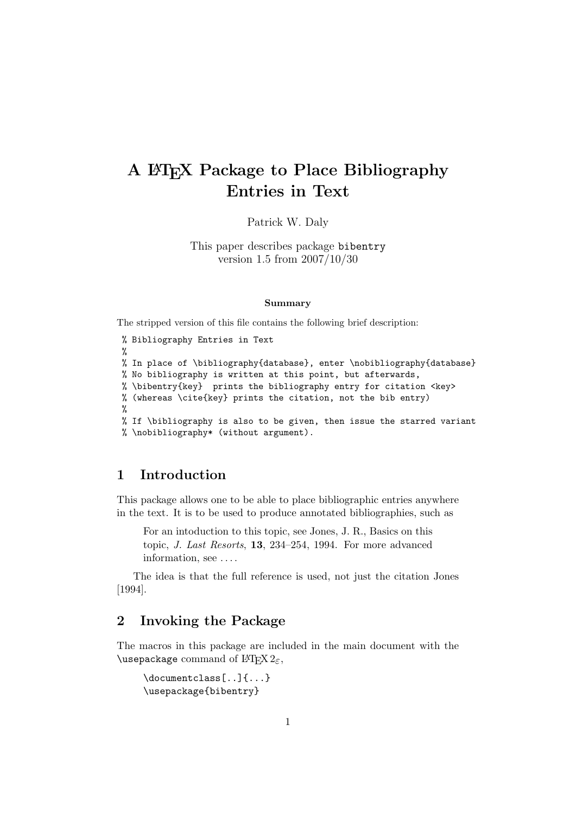# A LATEX Package to Place Bibliography Entries in Text

Patrick W. Daly

This paper describes package bibentry version 1.5 from 2007/10/30

#### Summary

The stripped version of this file contains the following brief description:

% Bibliography Entries in Text % % In place of \bibliography{database}, enter \nobibliography{database} % No bibliography is written at this point, but afterwards, % \bibentry{key} prints the bibliography entry for citation <key> % (whereas \cite{key} prints the citation, not the bib entry) % % If \bibliography is also to be given, then issue the starred variant % \nobibliography\* (without argument).

## 1 Introduction

This package allows one to be able to place bibliographic entries anywhere in the text. It is to be used to produce annotated bibliographies, such as

For an intoduction to this topic, see Jones, J. R., Basics on this topic, J. Last Resorts, 13, 234–254, 1994. For more advanced information, see . . . .

The idea is that the full reference is used, not just the citation Jones [1994].

# 2 Invoking the Package

The macros in this package are included in the main document with the \usepackage command of  $\operatorname{HTFX2}_{\epsilon}$ ,

```
\documentclass[..]{...}
\usepackage{bibentry}
```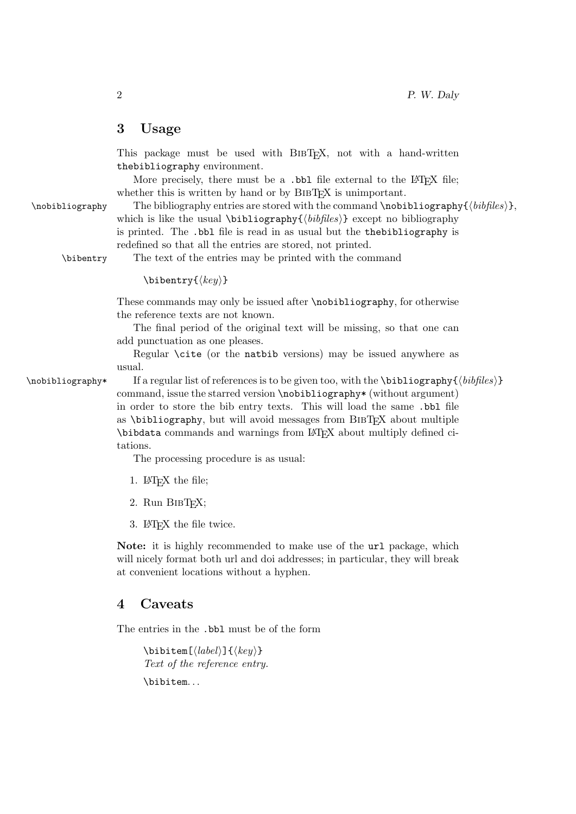### 3 Usage

This package must be used with BIBT<sub>E</sub>X, not with a hand-written thebibliography environment.

More precisely, there must be a .bbl file external to the LAT<sub>E</sub>X file; whether this is written by hand or by BIBT<sub>EX</sub> is unimportant.

 $\infty$ bibliography The bibliography entries are stored with the command  $\n *hobibliography*$  $(hibfiles)$ , which is like the usual  $\bibliography{\*bibiles*}$  except no bibliography is printed. The .bbl file is read in as usual but the thebibliography is redefined so that all the entries are stored, not printed.

\bibentry The text of the entries may be printed with the command

```
\big\{\langle key \rangle\}
```
These commands may only be issued after \nobibliography, for otherwise the reference texts are not known.

The final period of the original text will be missing, so that one can add punctuation as one pleases.

Regular \cite (or the natbib versions) may be issued anywhere as usual.

 $\n\n\n\n If a regular list of references is to be given too, with the \bibliography({bibfiles})\n$ command, issue the starred version \nobibliography\* (without argument) in order to store the bib entry texts. This will load the same .bbl file as  $\lambda$ bibliography, but will avoid messages from BIBT $FX$  about multiple \bibdata commands and warnings from LATEX about multiply defined citations.

The processing procedure is as usual:

- 1. LAT<sub>F</sub>X the file;
- 2. Run BIBT<sub>F</sub>X;
- 3. LATEX the file twice.

Note: it is highly recommended to make use of the url package, which will nicely format both url and doi addresses; in particular, they will break at convenient locations without a hyphen.

#### 4 Caveats

The entries in the .bbl must be of the form

 $\big\{\langle label \rangle\}$  { $\langle key \rangle\}$ } Text of the reference entry. \bibitem...